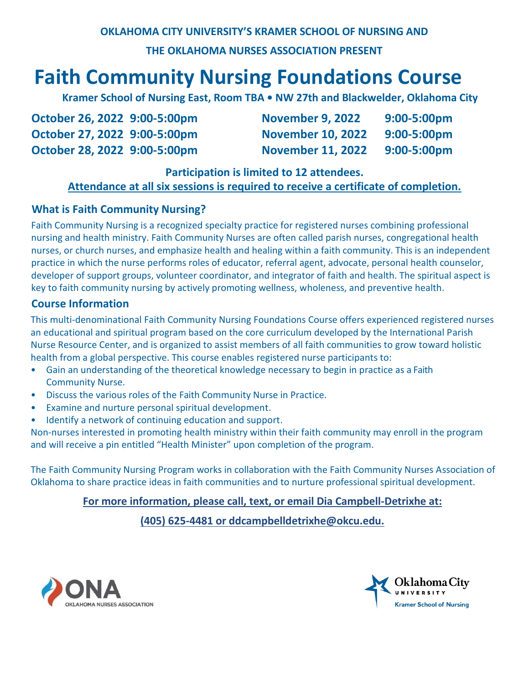# **Faith Community Nursing Foundations Course**

 **Kramer School of Nursing East, Room TBA • NW 27th and Blackwelder, Oklahoma City**

| October 26, 2022 9:00-5:00pm | <b>November 9, 2022</b>  | 9:00-5:00pm |
|------------------------------|--------------------------|-------------|
| October 27, 2022 9:00-5:00pm | <b>November 10, 2022</b> | 9:00-5:00pm |
| October 28, 2022 9:00-5:00pm | <b>November 11, 2022</b> | 9:00-5:00pm |

## **Participation is limited to 12 attendees.**

# **Attendance at all six sessions is required to receive a certificate of completion.**

# **What is Faith Community Nursing?**

Faith Community Nursing is a recognized specialty practice for registered nurses combining professional nursing and health ministry. Faith Community Nurses are often called parish nurses, congregational health nurses, or church nurses, and emphasize health and healing within a faith community. This is an independent practice in which the nurse performs roles of educator, referral agent, advocate, personal health counselor, developer of support groups, volunteer coordinator, and integrator of faith and health. The spiritual aspect is key to faith community nursing by actively promoting wellness, wholeness, and preventive health.

## **Course Information**

This multi-denominational Faith Community Nursing Foundations Course offers experienced registered nurses an educational and spiritual program based on the core curriculum developed by the International Parish Nurse Resource Center, and is organized to assist members of all faith communities to grow toward holistic health from a global perspective. This course enables registered nurse participants to:

- Gain an understanding of the theoretical knowledge necessary to begin in practice as a Faith Community Nurse.
- Discuss the various roles of the Faith Community Nurse in Practice.
- Examine and nurture personal spiritual development.
- Identify a network of continuing education and support.

Non-nurses interested in promoting health ministry within their faith community may enroll in the program and will receive a pin entitled "Health Minister" upon completion of the program.

The Faith Community Nursing Program works in collaboration with the Faith Community Nurses Association of Oklahoma to share practice ideas in faith communities and to nurture professional spiritual development.

# **For more information, please call, text, or email Dia Campbell-Detrixhe at:**

**(405) 625-4481 or ddcampbelldetrixhe@okcu.edu.**